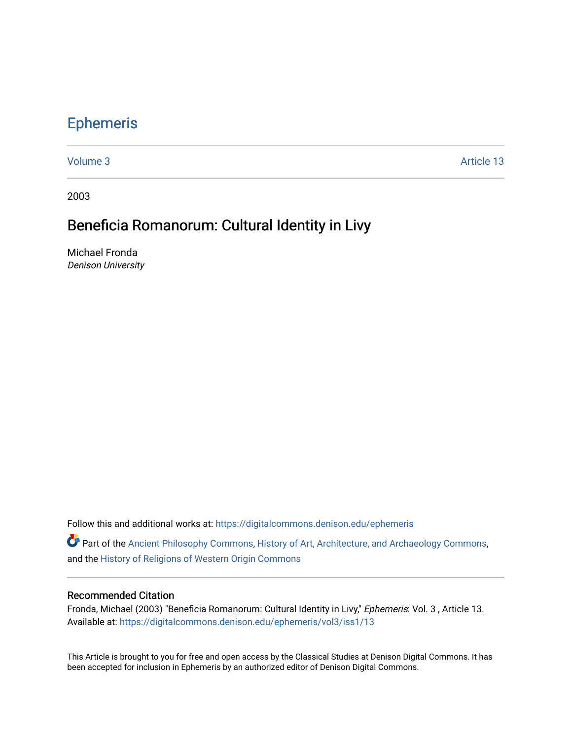## [Ephemeris](https://digitalcommons.denison.edu/ephemeris)

[Volume 3](https://digitalcommons.denison.edu/ephemeris/vol3) Article 13

2003

## Beneficia Romanorum: Cultural Identity in Livy

Michael Fronda Denison University

Follow this and additional works at: [https://digitalcommons.denison.edu/ephemeris](https://digitalcommons.denison.edu/ephemeris?utm_source=digitalcommons.denison.edu%2Fephemeris%2Fvol3%2Fiss1%2F13&utm_medium=PDF&utm_campaign=PDFCoverPages) 

**P** Part of the [Ancient Philosophy Commons](http://network.bepress.com/hgg/discipline/448?utm_source=digitalcommons.denison.edu%2Fephemeris%2Fvol3%2Fiss1%2F13&utm_medium=PDF&utm_campaign=PDFCoverPages), [History of Art, Architecture, and Archaeology Commons](http://network.bepress.com/hgg/discipline/510?utm_source=digitalcommons.denison.edu%2Fephemeris%2Fvol3%2Fiss1%2F13&utm_medium=PDF&utm_campaign=PDFCoverPages), and the [History of Religions of Western Origin Commons](http://network.bepress.com/hgg/discipline/542?utm_source=digitalcommons.denison.edu%2Fephemeris%2Fvol3%2Fiss1%2F13&utm_medium=PDF&utm_campaign=PDFCoverPages)

## Recommended Citation

Fronda, Michael (2003) "Beneficia Romanorum: Cultural Identity in Livy," Ephemeris: Vol. 3, Article 13. Available at: [https://digitalcommons.denison.edu/ephemeris/vol3/iss1/13](https://digitalcommons.denison.edu/ephemeris/vol3/iss1/13?utm_source=digitalcommons.denison.edu%2Fephemeris%2Fvol3%2Fiss1%2F13&utm_medium=PDF&utm_campaign=PDFCoverPages) 

This Article is brought to you for free and open access by the Classical Studies at Denison Digital Commons. It has been accepted for inclusion in Ephemeris by an authorized editor of Denison Digital Commons.